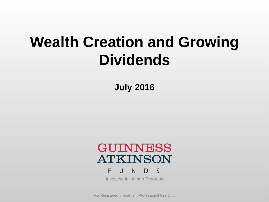# **Wealth Creation and Growing Dividends**

**July 2016**



Investing in Human Progress

For Registered Investment Professional Use Only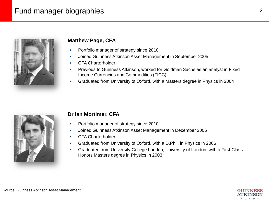## Fund manager biographies



#### **Matthew Page, CFA**

- Portfolio manager of strategy since 2010
- Joined Guinness Atkinson Asset Management in September 2005
- CFA Charterholder
- Previous to Guinness Atkinson, worked for Goldman Sachs as an analyst in Fixed Income Currencies and Commodities (FICC)
- Graduated from University of Oxford, with a Masters degree in Physics in 2004



#### **Dr Ian Mortimer, CFA**

- Portfolio manager of strategy since 2010
- Joined Guinness Atkinson Asset Management in December 2006
- CFA Charterholder
- Graduated from University of Oxford, with a D.Phil. in Physics in 2006
- Graduated from University College London, University of London, with a First Class Honors Masters degree in Physics in 2003

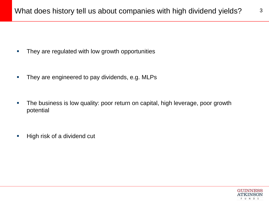- **They are regulated with low growth opportunities**
- They are engineered to pay dividends, e.g. MLPs
- **The business is low quality: poor return on capital, high leverage, poor growth** potential
- **High risk of a dividend cut**



3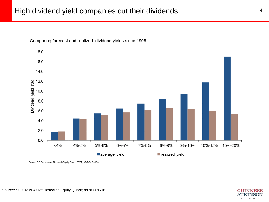

Comparing forecast and realized dividend yields since 1995

Source: SG Cross Asset Research/Equity Quant, FTSE, I/B/E/S, FactSet

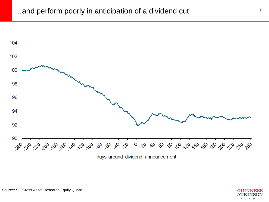

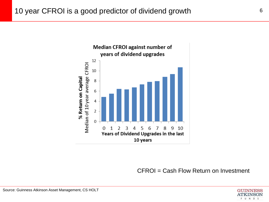

CFROI = Cash Flow Return on Investment

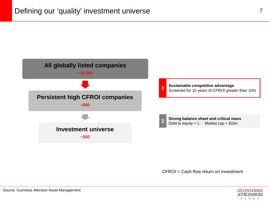

 $CFROI = Cash flow return on investment$ 

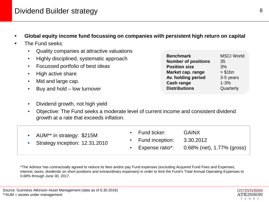### Dividend Builder strategy and the strategy of the strategy of  $\frac{8}{3}$

- **Global equity income fund focussing on companies with persistent high return on capital**
- The Fund seeks:
	- Quality companies at attractive valuations
	- Highly disciplined, systematic approach
	- Focussed portfolio of best ideas
	- High active share
	- Mid and large cap.
	- Buy and hold low turnover
	- Dividend growth, not high yield

| <b>Benchmark</b>           | <b>MSCI World</b> |
|----------------------------|-------------------|
| <b>Number of positions</b> | 35                |
| <b>Position size</b>       | 3%                |
| Market cap. range          | > \$1bn           |
| Av. holding period         | 3-5 years         |
| <b>Cash range</b>          | $1 - 3%$          |
| <b>Distributions</b>       | Quarterly         |

• Objective: The Fund seeks a moderate level of current income and consistent dividend growth at a rate that exceeds inflation.

| AUM** in strategy: \$215M      | $\bullet$ Fund ticker: | <b>GAINX</b>                                  |
|--------------------------------|------------------------|-----------------------------------------------|
| Strategy inception: 12.31.2010 | • Fund inception:      | 3.30.2012                                     |
|                                |                        | Expense ratio*: $0.68\%$ (net), 1.77% (gross) |

\*The Advisor has contractually agreed to reduce its fees and/or pay Fund expenses (excluding Acquired Fund Fees and Expenses, interest, taxes, dividends on short positions and extraordinary expenses) in order to limit the Fund's Total Annual Operating Expenses to 0.68% through June 30, 2017.

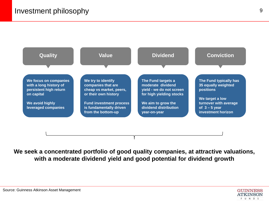

**We seek a concentrated portfolio of good quality companies, at attractive valuations, with a moderate dividend yield and good potential for dividend growth**

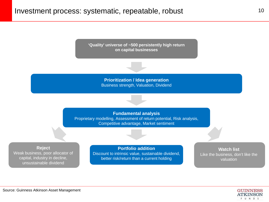

**Prioritization / Idea generation** Business strength, Valuation, Dividend

**Fundamental analysis** Proprietary modelling, Assessment of return potential, Risk analysis, Competitive advantage, Market sentiment

**Reject**

Weak business, poor allocator of capital, industry in decline, unsustainable dividend

**Portfolio addition** Discount to intrinsic value, sustainable dividend, better risk/return than a current holding

**Watch list** Like the business, don't like the valuation

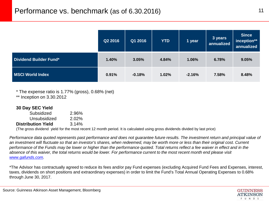|                         | Q2 2016 | Q1 2016  | <b>YTD</b> | 1 year   | 3 years<br>annualized | <b>Since</b><br>inception**<br>annualized |
|-------------------------|---------|----------|------------|----------|-----------------------|-------------------------------------------|
| Dividend Builder Fund*  | 1.40%   | 3.05%    | 4.84%      | 1.06%    | 6.78%                 | 9.05%                                     |
| <b>MSCI World Index</b> | 0.91%   | $-0.18%$ | 1.02%      | $-2.16%$ | 7.58%                 | 8.48%                                     |

\* The expense ratio is 1.77% (gross), 0.68% (net) \*\* Inception on 3.30.2012

| 30 Day SEC Yield          |                                                                                              |  |
|---------------------------|----------------------------------------------------------------------------------------------|--|
| Subsidized                | 2.96%                                                                                        |  |
| Unsubsidized              | 2.02%                                                                                        |  |
| <b>Distribution Yield</b> | 3.14%                                                                                        |  |
|                           | (The gross dividend viold for the meet recent 12 menth period. It is calculated using gross) |  |

(The gross dividend yield for the most recent 12 month period. It is calculated using gross dividends divided by last price)

*Performance data quoted represents past performance and does not guarantee future results. The investment return and principal value of an investment will fluctuate so that an investor's shares, when redeemed, may be worth more or less than their original cost. Current performance of the Funds may be lower or higher than the performance quoted. Total returns reflect a fee waiver in effect and in the absence of this waiver, the total returns would be lower. For performance current to the most recent month end please visit [www.gafunds.com](http://www.gafunds.com/).* 

\*The Advisor has contractually agreed to reduce its fees and/or pay Fund expenses (excluding Acquired Fund Fees and Expenses, interest, taxes, dividends on short positions and extraordinary expenses) in order to limit the Fund's Total Annual Operating Expenses to 0.68% through June 30, 2017.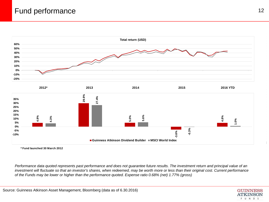



*Performance data quoted represents past performance and does not guarantee future results. The investment return and principal value of an investment will fluctuate so that an investor's shares, when redeemed, may be worth more or less than their original cost. Current performance of the Funds may be lower or higher than the performance quoted. Expense ratio 0.68% (net) 1.77% (gross)*

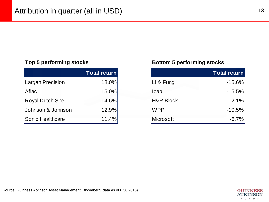|                          | <b>Total return</b> |
|--------------------------|---------------------|
| Largan Precision         | 18.0%               |
| Aflac                    | $15.0\%$            |
| <b>Royal Dutch Shell</b> | 14.6%               |
| Johnson & Johnson        | 12.9%               |
| Sonic Healthcare         | 11.4%               |

#### **Top 5 performing stocks Bottom 5 performing stocks**

| <b>Total return</b> |                      | <b>Total return</b> |
|---------------------|----------------------|---------------------|
| 18.0%               | Li & Fung            | $-15.6%$            |
| 15.0%               | Icap                 | $-15.5%$            |
| 14.6%               | <b>H&amp;R Block</b> | $-12.1%$            |
| 12.9%               | <b>WPP</b>           | $-10.5%$            |
| 11.4%               | <b>Microsoft</b>     | $-6.7%$             |

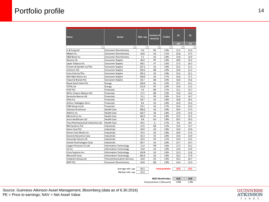| <b>Name</b>                        | <b>Sector</b>                     | Mkt. cap | Country of<br>domicile | % NAV                  | PE.             | PE.        |
|------------------------------------|-----------------------------------|----------|------------------------|------------------------|-----------------|------------|
|                                    | √1,                               | ÷        | ÷۶                     |                        | <b>16Y</b><br>÷ | <b>17Y</b> |
| Li & Fung Ltd                      | Consumer Discretionary            | 4.0      | HК                     | 2.8%                   | 11.5            | 11.0       |
| Mattel Inc                         | Consumer Discretionary            | 10.8     | US                     | 3.1%                   | 22.8            | 17.5       |
| <b>H&amp;R Block Inc</b>           | Consumer Discretionary            | 5.1      | <b>US</b>              | 2.8%                   | 13.8            | 13.0       |
| Danone SA                          | <b>Consumer Staples</b>           | 46.0     | FR                     | 2.8%                   | 20.8            | 19.2       |
| Japan Tobacco Inc                  | <b>Consumer Staples</b>           | 84.5     | JP                     | 3.3%                   | 17.5            | 16.7       |
| Procter & Gamble Co/The            | <b>Consumer Staples</b>           | 227.2    | US                     | 2.8%                   | 23.2            | 21.3       |
| Unilever PLC                       | <b>Consumer Staples</b>           | 140.2    | GB                     | 2.9%                   | 22.8            | 21.2       |
| Coca-Cola Co/The                   | Consumer Staples                  | 195.2    | US                     | 2.8%                   | 23.4            | 22.1       |
| Wal-Mart Stores Inc                | Consumer Staples                  | 230.0    | US                     | 2.7%                   | 16.0            | 17.1       |
| <b>Imperial Brands PLC</b>         | <b>Consumer Staples</b>           | 50.7     | GB                     | 3.0%                   | 16.8            | 15.6       |
| Royal Dutch Shell PLC              | Energy                            | 218.4    | ΝL                     | 2.9%                   | 23.7            | 14.1       |
| TOTAL SA                           | Energy                            | 115.9    | FR                     | 2.9%                   | 15.8            | 11.5       |
| <b>ICAP PLC</b>                    | Financials                        | 3.4      | GB                     | 2.7%                   | 15.1            | 15.7       |
| Willis Towers Watson PLC           | Financials                        | 17.2     | GB                     | 2.9%                   | 15.8            | 14.3       |
| Deutsche Boerse AG                 | Financials                        | 15.1     | DE                     | 2.8%                   | 15.4            | 14.7       |
| Aflac Inc                          | Financials                        | 29.7     | US                     | 2.8%                   | 10.8            | 10.5       |
| Arthur J Gallagher & Co            | Financials                        | 8.4      | US                     | 2.8%                   | 16.9            | 15.4       |
| CME Group Inc/IL                   | Financials                        | 33.1     | US                     | 2.7%                   | 22.6            | 21.0       |
| Johnson & Johnson                  | <b>Health Care</b>                | 336.5    | US                     | 2.8%                   | 18.4            | 17.3       |
| AbbVie Inc                         | <b>Health Care</b>                | 102.7    | <b>US</b>              | 2.8%                   | 13.0            | 11.0       |
| Merck & Co Inc                     | <b>Health Care</b>                | 162.5    | US                     | 2.8%                   | 15.5            | 15.3       |
| Sonic Healthcare Ltd               | <b>Health Care</b>                | 6.8      | AU                     | 2.8%                   | 20.3            | 19.2       |
| Teva Pharmaceutical Industries Ltd | Health Care                       | 45.5     | IL                     | 2.7%                   | 9.6             | 8.4        |
| <b>BAE Systems PLC</b>             | Industrials                       | 21.6     | GB                     | 3.2%                   | 13.4            | 12.7       |
| Eaton Corp PLC                     | Industrials                       | 26.9     | US                     | 2.8%                   | 14.0            | 13.0       |
| Illinois Tool Works Inc            | Industrials                       | 37.4     | US                     | 2.8%                   | 18.9            | 17.4       |
| <b>General Dynamics Corp</b>       | Industrials                       | 42.3     | US                     | 2.8%                   | 14.6            | 13.9       |
| Schneider Electric SE              | Industrials                       | 32.9     | FR                     | 3.1%                   | 14.4            | 13.5       |
| United Technologies Corp           | Industrials                       | 83.7     | US                     | 2.8%                   | 15.7            | 14.7       |
| Largan Precision Co Ltd            | Information Technology            | 11.9     | TW                     | 3.0%                   | 17.3            | 13.1       |
| CA Inc                             | <b>Information Technology</b>     | 13.8     | US                     | 2.8%                   | 13.6            | 12.9       |
| Cisco Systems Inc                  | Information Technology            | 143.8    | US                     | 2.8%                   | 12.3            | 11.8       |
| Microsoft Corp                     | <b>Information Technology</b>     | 401.6    | US                     | 2.8%                   | 19.2            | 17.9       |
| Vodacom Group Ltd                  | <b>Telecommunication Services</b> | 16.8     | ΖA                     | 2.9%                   | 19.2            | 16.7       |
| WPP PLC                            | Consumer Discretionary            | 26.8     | GB                     | 2.8%                   | 14.4            | 13.3       |
|                                    | Average mkt. cap                  | 93.3     |                        | <b>Total portfolio</b> | 16.0            | 14.5       |
|                                    |                                   |          |                        |                        |                 |            |

Median mkt. cap 37.4

**MSCI World Index 16.8 14.8** *Fund premium / (discount) -4.8% -1.8%*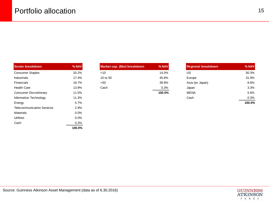| <b>Sector breakdown</b>           | % NAV   | Market cap. (\$bn) breakdown | % NAV  | <b>Regional breakdown</b> | % NAV  |
|-----------------------------------|---------|------------------------------|--------|---------------------------|--------|
| <b>Consumer Staples</b>           | 20.2%   | $<$ 10                       | 14.0%  | US.                       | 50.3%  |
| Industrials                       | 17.4%   | 10 to 50                     | 45.8%  | Europe                    | 31.9%  |
| Financials                        | 16.7%   | >50                          | 39.9%  | Asia (ex Japan)           | 8.6%   |
| <b>Health Care</b>                | 13.9%   | Cash                         | 0.3%   | Japan                     | 3.3%   |
| <b>Consumer Discretionary</b>     | 11.5%   |                              | 100.0% | MENA                      | 5.6%   |
| Information Technology            | 11.3%   |                              |        | Cash                      | 0.3%   |
| Energy                            | 5.7%    |                              |        |                           | 100.0% |
| <b>Telecommunication Services</b> | 2.9%    |                              |        |                           |        |
| Materials                         | $0.0\%$ |                              |        |                           |        |
| <b>Utilities</b>                  | $0.0\%$ |                              |        |                           |        |
| Cash                              | 0.3%    |                              |        |                           |        |
|                                   | 100.0%  |                              |        |                           |        |

| Market cap. (\$bn) breakdown | % NAV |
|------------------------------|-------|
| ~10                          | 14.0% |
| 10 to 50                     | 45.8% |
| >50                          | 39.9% |
| Cash                         | 0.3%  |
|                              |       |

| <b>Sector breakdown</b> | $%$ NAV | Market cap. (\$bn) breakdown | $%$ NAV | <b>Regional breakdown</b> | % NAV          |
|-------------------------|---------|------------------------------|---------|---------------------------|----------------|
| Consumer Staples        | 20.2%   | $<$ 10                       | 14.0%   | US                        | 50.3%          |
| Industrials             | 17.4%   | 10 to 50                     | 45.8%   | Europe                    | 31.9%          |
| Financials              | 16.7%   | >50                          | 39.9%   | Asia (ex Japan)           | 8.6%           |
| <b>Health Care</b>      | 13.9%   | Cash                         | 0.3%    | Japan                     | 3.3%           |
| Consumer Discretionary  | 11.5%   |                              | 100.0%  | <b>MENA</b>               | 5.6%           |
| Information Technology  | 11.3%   |                              |         | Cash                      | 0.3%           |
| man a service of the    | $-70/$  |                              |         |                           | $\overline{A}$ |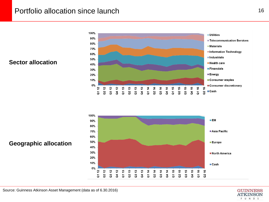### Portfolio allocation since launch 16

#### **Sector allocation**





#### **Geographic allocation**

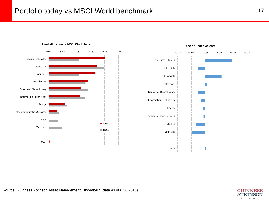

#### **Fund allocation vs MSCI World Index**

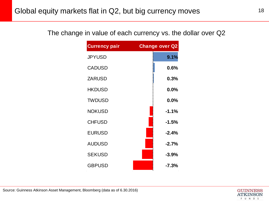| <b>Currency pair</b> | <b>Change over Q2</b> |
|----------------------|-----------------------|
| <b>JPYUSD</b>        | 9.1%                  |
| <b>CADUSD</b>        | 0.6%                  |
| <b>ZARUSD</b>        | 0.3%                  |
| <b>HKDUSD</b>        | 0.0%                  |
| <b>TWDUSD</b>        | 0.0%                  |
| <b>NOKUSD</b>        | $-1.1%$               |
| <b>CHFUSD</b>        | $-1.5%$               |
| <b>EURUSD</b>        | $-2.4%$               |
| <b>AUDUSD</b>        | $-2.7%$               |
| <b>SEKUSD</b>        | $-3.9%$               |
| <b>GBPUSD</b>        | $-7.3%$               |

The change in value of each currency vs. the dollar over Q2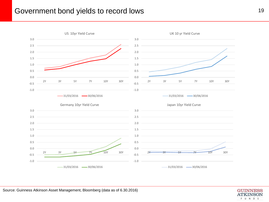#### Government bond yields to record lows and the state of the state of the state of the state of the state of the state of the state of the state of the state of the state of the state of the state of the state of the state o

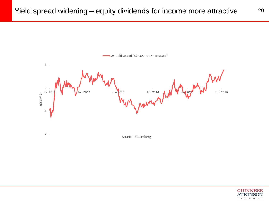



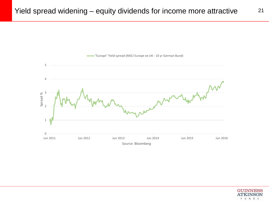